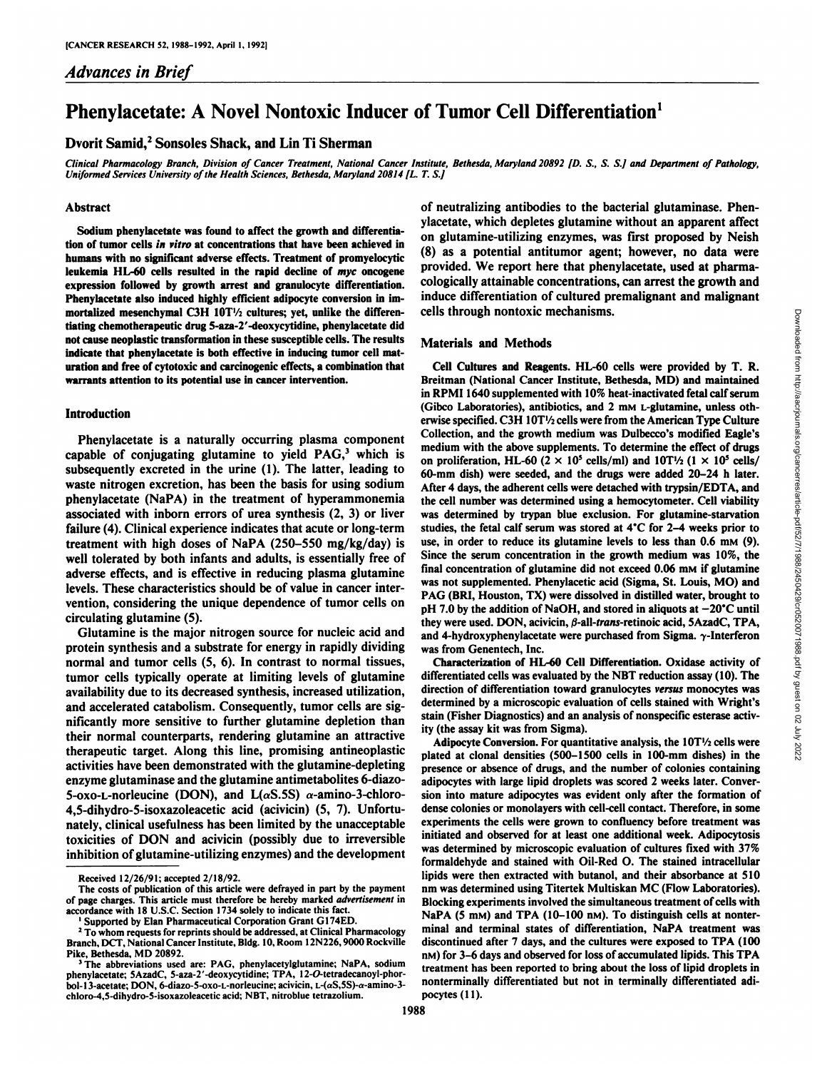# *Advances in Brief*

# Phenylacetate: A Novel Nontoxic Inducer of Tumor Cell Differentiation<sup>1</sup>

## Dvorit Samid,<sup>2</sup> Sonsoles Shack, and Lin Ti Sherman

Clinical Pharmacology Branch, Division of Cancer Treatment, National Cancer Institute, Bethesda, Maryland 20892 [D. S., S. S.] and Department of Pathology, *Uniformed Services University of the Health Sciences, Bethesda, Maiyland 20814 [L. T. S.]*

## Abstract

**Sodium phenylacetate was found to affect the growth and differentia tion of tumor cells in vitro at concentrations that have been achieved in humans with no significant adverse effects. Treatment of promyelocytic leukemia III.-60 cells resulted in the rapid decline of myc oncogene expression followed by growth arrest and granulocyte differentiation. Phenylacetate also induced highly efficient adipocyte conversion in im**  $m$ ortalized mesenchymal C3H 10T<sup>1</sup>/<sub>2</sub> cultures; yet, unlike the differen**tiating chemotherapeutic drug 5-aza-2'-deoxycytidine, phenylacetate did not cause neoplastic transformation in these susceptible cells. The results indicate that phenylacetate is both effective in inducing tumor cell mat uration and free of cytotoxic and carcinogenic effects, a combination that warrants attention to its potential use in cancer intervention.**

#### Introduction

subsequently excreted in the urine (1). The latter, leading to waste nitrogen excretion, has been the basis for using sodium phenylacetate (NaPA) in the treatment of hyperammonemia associated with inborn errors of urea synthesis (2, 3) or liver failure (4). Clinical experience indicates that acute or long-term treatment with high doses of NaPA (250-550 mg/kg/day) is well tolerated by both infants and adults, is essentially free of adverse effects, and is effective in reducing plasma glutamine levels. These characteristics should be of value in cancer inter vention, considering the unique dependence of tumor cells on circulating glutamine (5).

Glutamine is the major nitrogen source for nucleic acid and protein synthesis and a substrate for energy in rapidly dividing normal and tumor cells (5, 6). In contrast to normal tissues, tumor cells typically operate at limiting levels of glutamine and accelerated catabolism. Consequently, tumor cells are sig nificantly more sensitive to further glutamine depletion than their normal counterparts, rendering glutamine an attractive therapeutic target. Along this line, promising antineoplastic activities have been demonstrated with the glutamine-depleting enzyme glutaminase and the glutamine antimetabolites 6-diazo-5-oxo-L-norleucine (DON), and  $L(\alpha S.5S)$   $\alpha$ -amino-3-chloro-4,5-dihydro-5-isoxazoleacetic acid (acivicin) (5, 7). Unfortu nately, clinical usefulness has been limited by the unacceptable toxicities of DON and acivicin (possibly due to irreversible inhibition of glutamine-utilizing enzymes) and the development

of neutralizing antibodies to the bacterial glutaminase. Phen ylacetate, which depletes glutamine without an apparent affect on glutamine-utilizing enzymes, was first proposed by Neish (8) as a potential antitumor agent; however, no data were provided. We report here that phenylacetate, used at pharma cologically attainable concentrations, can arrest the growth and induce differentiation of cultured premalignant and malignant cells through nontoxic mechanisms.

## **Materials and Methods**

Phenylacetate is a naturally occurring plasma component<br>capable of conjugating glutamine to yield PAG,<sup>3</sup> which is<br>medificanties HI 60.02 supplements. To determine the effect of conjugating glutamine to yield PAG,<sup>3</sup> whic Cell Cultures and Reagents. HL-60 cells were provided by T. R. cells through nontoxic mechanisms.<br>
Cell Cultures and Reagents. HL-60 cells were provided by T. R.<br>
Cell Cultures and Reagents. HL-60 cells were provided by T. R.<br>
In RPMI 1640 supplemented with 10% heat-inactivated fetal in RPMI 1640 supplemented with 10% heat-inactivated fetal calf serum (Gibco Laboratories), antibiotics, and 2 mm L-glutamine, unless otherwise specified. C3H 10T'/2 cells were from the American Type Culture Collection, and the growth medium was Dulbecco's modified Eagle's on proliferation, HL-60 (2  $\times$  10<sup>5</sup> cells/ml) and 10T<sup>1</sup>/2 (1  $\times$  10<sup>5</sup> cells/ 60-mm dish) were seeded, and the drugs were added 20-24 h later. After 4 days, the adherent cells were detached with trypsin/EDTA, and the cell number was determined using a hemocytometer. Cell viability was determined by trypan blue exclusion. For glutamine-starvation studies, the fetal calf serum was stored at 4°C for 2-4 weeks prior to use, in order to reduce its glutamine levels to less than 0.6 mm (9). Since the serum concentration in the growth medium was 10%, the final concentration of glutamine did not exceed  $0.06$  mm if glutamine was not supplemented. Phenylacetic acid (Sigma, St. Louis, MO) and PAG (BRI, Houston, TX) were dissolved in distilled water, brought to pH 7.0 by the addition of NaOH, and stored in aliquots at  $-20^{\circ}$ C until they were used. DON, acivicin,  $\beta$ -all-trans-retinoic acid, SAzadC, TPA, and 4-hydroxyphenylacetate were purchased from Sigma.  $\gamma$ -Interferon was from Genentech, Inc.

availability due to its decreased synthesis, increased utilization, direction of differentiation toward granulocytes versus monocytes was<br>and accelerated catabolism. Consequently, tumor cells are sig. determined by a micro Characterization of HL-60 Cell Differentiation. Oxidase activity of differentiated cells was evaluated by the NBT reduction assay (10). The direction of differentiation toward granulocytes versus monocytes was stain (Fisher Diagnostics) and an analysis of nonspecific esterase activ ity (the assay kit was from Sigma).

> Adipocyte Conversion. For quantitative analysis, the  $10T\frac{1}{2}$  cells were plated at clonal densities (500-1500 cells in 100-mm dishes) in the presence or absence of drugs, and the number of colonies containing adipocytes with large lipid droplets was scored 2 weeks later. Conver sion into mature adipocytes was evident only after the formation of dense colonies or monolayers with cell-cell contact. Therefore, in some experiments the cells were grown to confluency before treatment was initiated and observed for at least one additional week. Adipocytosis was determined by microscopic evaluation of cultures fixed with 37% formaldehyde and stained with Oil-Red O. The stained intracellular lipids were then extracted with butanol, and their absorbance at 510 nm was determined using Titertek Multiskan MC (Flow Laboratories). Blocking experiments involved the simultaneous treatment of cells with NaPA (5 mM) and TPA (10-100 nM). To distinguish cells at nonterminal and terminal states of differentiation, NaPA treatment was discontinued after 7 days, and the cultures were exposed to TPA (100 n<sub>M</sub>) for 3–6 days and observed for loss of accumulated lipids. This TPA treatment has been reported to bring about the loss of lipid droplets in nonterminally differentiated but not in terminally differentiated adi pocytes (11).

Received 12/26/91; accepted 2/18/92.

The costs of publication of this article were defrayed in part by the payment of page charges. This article must therefore be hereby marked advertisement in accordance with 18 U.S.C. Section 1734 solely to indicate this fact.

Supported by Elan Pharmaceutical Corporation Grant G174ED.

<sup>&</sup>lt;sup>2</sup> To whom requests for reprints should be addressed, at Clinical Pharmacology Branch, DCT, National Cancer Institute. Bldg. 10, Room 12N226.9000 Rockville Pike, Bethesda, MD 20892.

The abbreviations used are: PAG, phenylacetylglutamine; NaPA, sodium phenylacetate; SAzadC, 5-aza-2'-deoxycytidine; TPA, 12-O-tetradecanoyl-phorbol-13-acetate; DON, 6-diazo-5-oxo-L-norleucine; acivicin, L-(αS,5S)-α-amino-3chloro-4,5-dihydro-5-isoxazoleaceticacid; NBT. nitroblue tetrazolium.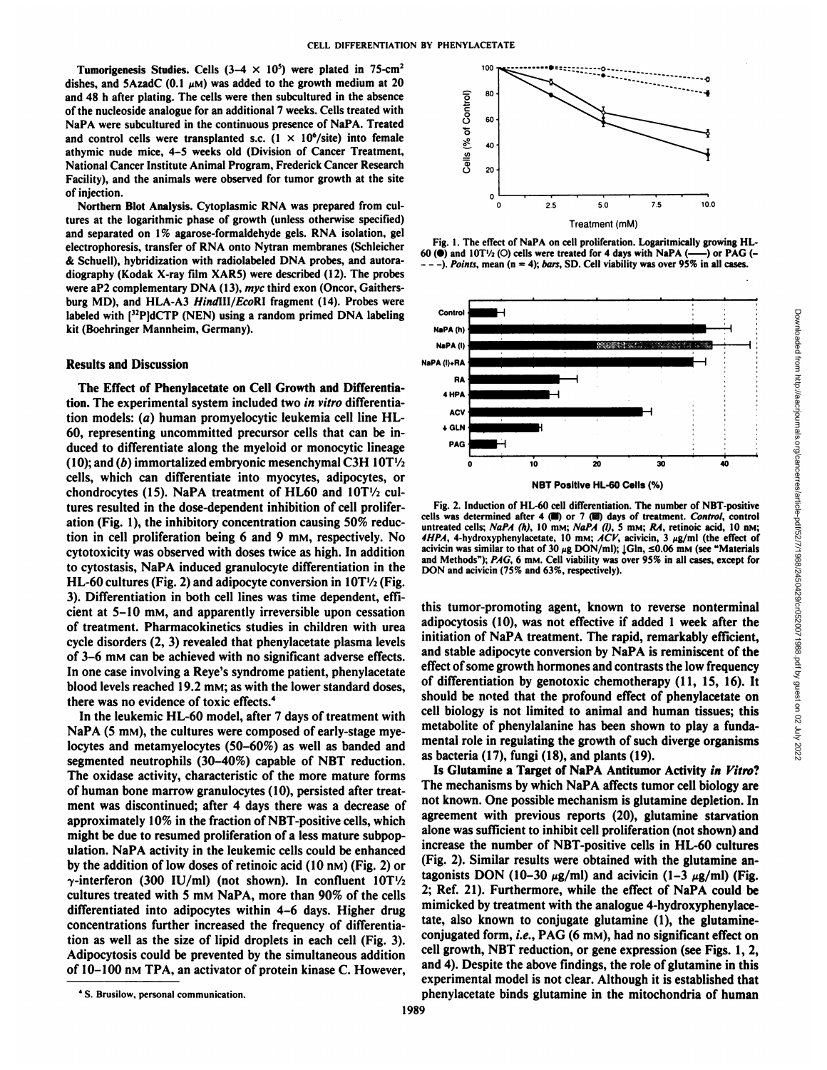Tumorigenesis Studies. Cells  $(3-4 \times 10^5)$  were plated in 75-cm<sup>2</sup> dishes, and 5AzadC (0.1  $\mu$ M) was added to the growth medium at 20 and 48 h after plating. The cells were then subcultured in the absence of the nucleoside analogue for an additional 7 weeks. Cells treated with NaPA were subcultured in the continuous presence of NaPA. Treated and control cells were transplanted s.c.  $(1 \times 10^6/\text{site})$  into female athymic nude mice, 4-5 weeks old (Division of Cancer Treatment, National Cancer Institute Animal Program, Frederick Cancer Research Facility), and the animals were observed for tumor growth at the site of injection.

Northern Blot Analysis. Cytoplasmic RNA was prepared from cul tures at the logarithmic phase of growth (unless otherwise specified) and separated on 1% agarose-formaldehyde gels. RNA isolation, gel electrophoresis, transfer of RNA onto Nytran membranes (Schleicher & Schuell), hybridization with radiolabeled DNA probes, and autoradiography (Kodak X-ray film XAR5) were described (12). The probes were aP2 complementary DNA (13), myc third exon (Oncor, Gaithersburg MD), and HLA-A3 HindIII/EcoRI fragment (14). Probes were labeled with  $[$ <sup>32</sup>P]dCTP (NEN) using a random primed DNA labeling  $^{Contro}$ kit (Boehringer Mannheim, Germany).

## Results and Discussion

The Effect of Phenylacetate on Cell Growth and Differentia tion. The experimental system included two in vitro differentia tion models: (a) human promyelocytic leukemia cell line HL-60, representing uncommitted precursor cells that can be in- $+$ <sup>GLN</sup> duced to differentiate along the myeloid or monocytic lineage (10); and (b) immortalized embryonic mesenchymal C3H  $10T\frac{1}{2}$ cells, which can differentiate into myocytes, adipocytes, or chondrocytes (15). NaPA treatment of HL60 and 10T'/2 cul tures resulted in the dose-dependent inhibition of cell prolifer ation (Fig. 1), the inhibitory concentration causing 50% reduc tion in cell proliferation being 6 and 9 mM, respectively. No  $4HPA$ , 4-hydroxyphenylacetate, 10 mM;  $\angle ACV$ , acivicin, 3  $\mu$ g/ml (the effect of cytotoxicity was observed with doses twice as high In addition acivicin was s cytotoxicity was observed with doses twice as high. In addition to cytostasis, NaPA induced granulocyte differentiation in the HL-60 cultures (Fig. 2) and adipocyte conversion in  $10T\frac{1}{2}$  (Fig. 3). Differentiation in both cell lines was time dependent, effi cient at 5-10 mM, and apparently irreversible upon cessation of treatment. Pharmacokinetics studies in children with urea cycle disorders (2, 3) revealed that phenylacetate plasma levels of 3-6 mM can be achieved with no significant adverse effects. In one case involving a Reye's syndrome patient, phenylacetate blood levels reached 19.2 mm; as with the lower standard doses, there was no evidence of toxic effects.<sup>4</sup>

In the leukemic HL-60 model, after 7 days of treatment with NaPA (5 mm), the cultures were composed of early-stage myelocytes and metamyelocytes (50-60%) as well as banded and segmented neutrophils (30-40%) capable of NBT reduction. The oxidase activity, characteristic of the more mature forms of human bone marrow granulocytes (10), persisted after treat ment was discontinued; after 4 days there was a decrease of approximately 10% in the fraction of NBT-positive cells, which might be due to resumed proliferation of a less mature subpopulation. NaPA activity in the leukemic cells could be enhanced by the addition of low doses of retinoic acid (10 nm) (Fig. 2) or  $\gamma$ -interferon (300 IU/ml) (not shown). In confluent 10T<sup>1</sup>/2 cultures treated with 5 mM NaPA, more than 90% of thecells differentiated into adipocytes within 4-6 days. Higher drug concentrations further increased the frequency of differentia tion as well as the size of lipid droplets in each cell (Fig. 3). Adipocytosis could be prevented by the simultaneous addition of 10-100 nM TPA, an activator of protein kinase C. However,



Fig. 1. The effect of NaPA on cell proliferation. Logaritmically growing HL-60 ( $\bullet$ ) and 10T<sup>1</sup>/<sub>2</sub> (O) cells were treated for 4 days with NaPA ( $\overline{\phantom{a}}$ ) or PAG (- $-$ ). Points, mean (n = 4); bars, SD. Cell viability was over 95% in all cases.



Fig. 2. Induction of HL-60 cell differentiation. The number of NBT-positive cells was determined after 4 ( $\blacksquare$ ) or 7 ( $\blacksquare$ ) days of treatment. Control, control untreated cells; NaPA (h), 10 mm; NaPA (l), 5 mm; RA, retinoic acid, 10 nm;  $4HPA$ ,  $4$ -hydroxyphenylacetate,  $10$  mm;  $\overline{ACV}$ , acivicin,  $3 \mu g/ml$  (the effect of and Methods"); PAG, 6 mM. Cell viability was over 95% in all cases, except for DON and acivicin (75% and 63%, respectively).

this tumor-promoting agent, known to reverse nonterminal initiation of NaPA treatment. The rapid, remarkably efficient, and stable adipocyte conversion by NaPA is reminiscent of the effect of some growth hormones and contrasts the low frequency of differentiation by genotoxic chemotherapy (11, 15, 16). It should be noted that the profound effect of phenylacetate on cell biology is not limited to animal and human tissues; this metabolite of phenylalanine has been shown to play a funda mental role in regulating the growth of such diverge organisms as bacteria (17), fungi (18), and plants (19).

Is Glutamine a Target of NaPA Antitumor Activity in Vitro? The mechanisms by which NaPA affects tumor cell biology are not known. One possible mechanism is glutamine depletion. In agreement with previous reports (20), glutamine starvation alone was sufficient to inhibit cell proliferation (not shown) and increase the number of NBT-positive cells in HL-60 cultures (Fig. 2). Similar results were obtained with the glutamine an tagonists DON (10-30  $\mu$ g/ml) and acivicin (1-3  $\mu$ g/ml) (Fig. 2; Ref. 21). Furthermore, while the effect of NaPA could be mimicked by treatment with the analogue 4-hydroxyphenylace tate, also known to conjugate glutamine (1), the glutamineconjugated form, i.e., PAG (6 mM), had no significant effect on cell growth, NBT reduction, or gene expression (see Figs. 1, 2, and 4). Despite the above findings, the role of glutamine in this experimental model is not clear. Although it is established that phenylacetate binds glutamine in the mitochondria of human

*<sup>4</sup> S. Brusilow, personal communication.*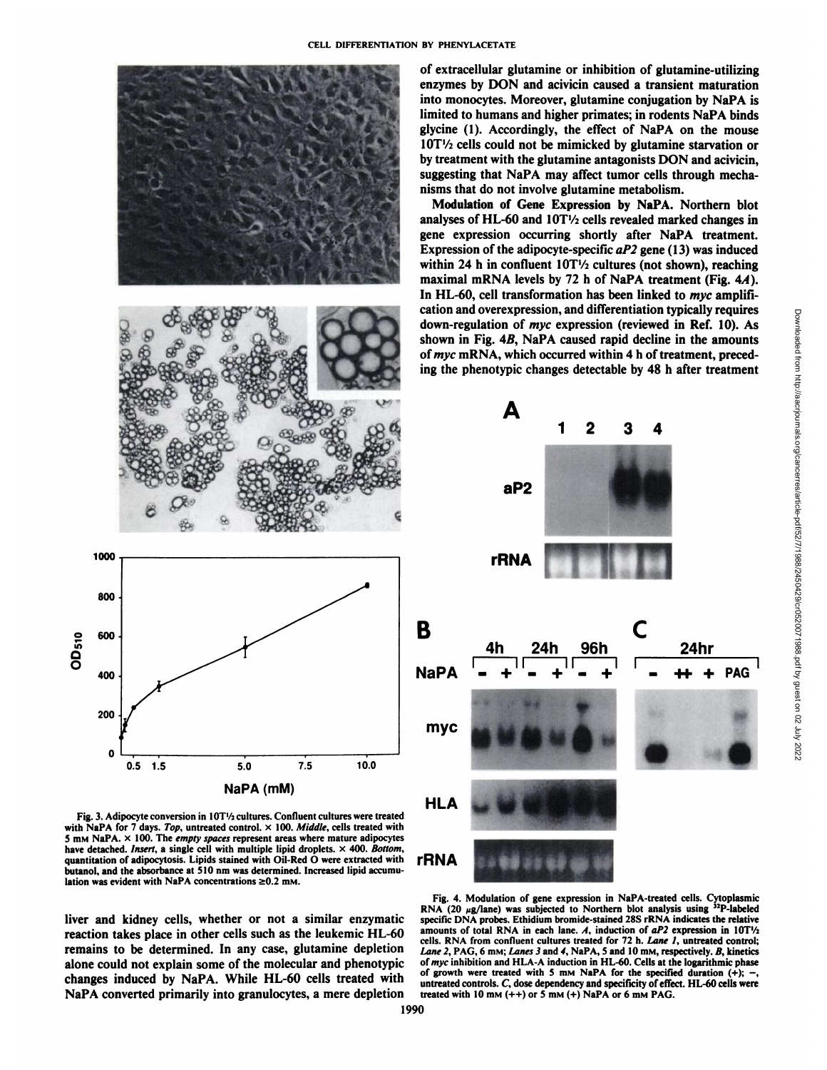

Fig. 3. Adipocyte conversion in 10T1/2 cultures. Confluent cultures were treated with NaPA for 7 days. Top, untreated control.  $\times$  100. Middle, cells treated with 5 mm NaPA.  $\times$  100. The *empty spaces* represent areas where mature adipocytes have detached. Insert, a single cell with multiple lipid droplets.  $\times$  400. Bottom, quantitation of adipocytosis. Lipids stained with Oil-Red O were extracted with butanol, and the absorbance at 510 nm was determined. Increased lipid accumulation was evident with NaPA concentrations  $\geq 0.2$  mm.

reaction takes place in other cells such as the leukemic HL-60 remains to be determined. In any case, glutamine depletion alone could not explain some of the molecular and phenotypic changes induced by NaPA. While HL-60 cells treated with NaPA converted primarily into granulocytes, a mere depletion

Modulation of Gene Expression by NaPA. Northern blot analyses of HL-60 and  $10T\frac{1}{2}$  cells revealed marked changes in gene expression occurring shortly after NaPA treatment. Expression of the adipocyte-specific  $aP2$  gene (13) was induced within 24 h in confluent  $10T\frac{1}{2}$  cultures (not shown), reaching maximal mRNA levels by 72 h of NaPA treatment (Fig.  $4A$ ). In HL-60, cell transformation has been linked to *myc* amplification and overexpression, and differentiation typically requires shown in Fig. 4B, NaPA caused rapid decline in the amounts of myc mRNA, which occurred within 4 h of treatment, preced ing the phenotypic changes detectable by 48 h after treatment



RNA (20 µg/lane) was subjected to Northern blot analysis using <sup>32</sup>P-labeled<br>liver and kidney cells, whether or not a similar enzymatic specific DNA probes. Ethidium bromide-stained 28S rRNA indicates the relative Fig. 4. Modulation of gene expression in NaPA-treated cells. Cytoplasmic specific DNA probes. Ethidium bromide-stained 28S rRNA indicates the relative amounts of total RNA in each lane. A, induction of  $aP2$  expression in  $10T<sup>1</sup>/2$ cells. RNA from confluent cultures treated for 72 h. Lane 1, untreated control; *Lane 2, PAG, 6 mM; Lanes 3 and 4, NaPA, 5 and 10 mM, respectively. B, kinetics of myc inhibition and HLA-A induction in HL-60. Cells at the logarithmic phase* of growth were treated with 5 mm NaPA for the specified duration  $(+)$ ; untreated controls. C, dose dependency and specificity of effect. HL-60 cells were treated with 10 mm  $(++)$  or 5 mm  $(+)$  NaPA or 6 mm PAG.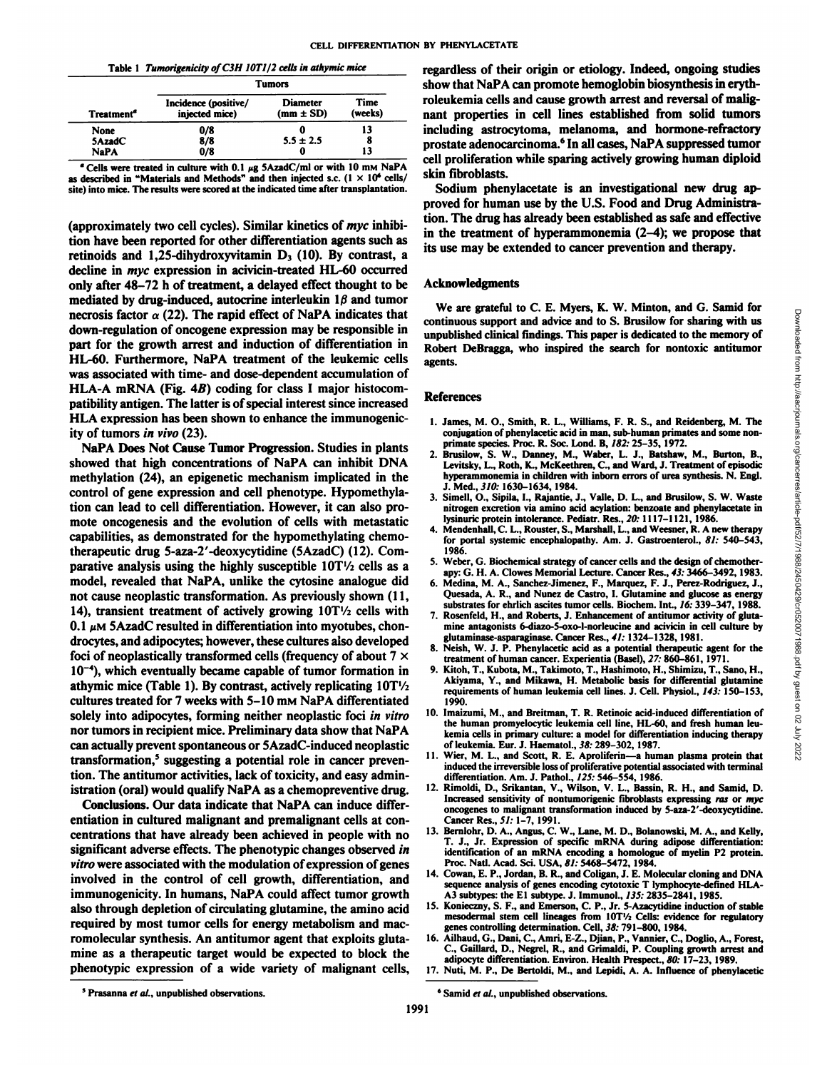|  |  | Table 1 Tumorigenicity of C3H 10T1/2 cells in athymic mice |  |
|--|--|------------------------------------------------------------|--|
|--|--|------------------------------------------------------------|--|

|                        | <b>Tumors</b>                          |                                  |                 |
|------------------------|----------------------------------------|----------------------------------|-----------------|
| Treatment <sup>"</sup> | Incidence (positive/<br>injected mice) | <b>Diameter</b><br>$(mm \pm SD)$ | Time<br>(weeks) |
| None                   | 0/8                                    |                                  | 13              |
| 5AzadC                 | 8/8                                    | $5.5 \pm 2.5$                    | 8               |
| <b>NaPA</b>            | 0/8                                    | 0                                | 13              |

 $e$  Cells were treated in culture with 0.1  $\mu$ g 5AzadC/ml or with 10 mm NaPA as described in "Materials and Methods" and then injected s.c.  $(1 \times 10^6 \text{ cells}/$ site) into mice. The results were scored at the indicated time after transplantation.

(approximately two cell cycles). Similar kinetics of  $myc$  inhibition have been reported for other differentiation agents such as retinoids and 1,25-dihydroxyvitamin  $D_3$  (10). By contrast, a decline in myc expression in acivicin-treated HL-60 occurred only after 48-72 h of treatment, a delayed effect thought to be mediated by drug-induced, autocrine interleukin  $1\beta$  and tumor necrosis factor  $\alpha$  (22). The rapid effect of NaPA indicates that down-regulation of oncogene expression may be responsible in part for the growth arrest and induction of differentiation in HL-60. Furthermore, NaPA treatment of the leukemic cells was associated with time- and dose-dependent accumulation of HLA-A mRNA (Fig. 4B) coding for class I major histocompatibility antigen. The latter is of special interest since increased HLA expression has been shown to enhance the immunogenicity of tumors in vivo (23).

NaPA Does Not Cause Tumor Progression. Studies in plants showed that high concentrations of NaPA can inhibit DNA methylation (24), an epigenetic mechanism implicated in the control of gene expression and cell phenotype. Hypomethylation can lead to cell differentiation. However, it can also pro mote oncogenesis and the evolution of cells with metastatic capabilities, as demonstrated for the hypomethylating chemotherapeutic drug 5-aza-2'-deoxycytidine (SAzadC) (12). Com parative analysis using the highly susceptible  $10T\frac{1}{2}$  cells as a model, revealed that NaPA, unlike the cytosine analogue did not cause neoplastic transformation. As previously shown (11, 14), transient treatment of actively growing  $10T\frac{1}{2}$  cells with 0.1  $\mu$ M 5AzadC resulted in differentiation into myotubes, chondrocytes, and adipocytes; however, these cultures also developed foci of neoplastically transformed cells (frequency of about  $7 \times$  $10^{-4}$ ), which eventually became capable of tumor formation in athymic mice (Table 1). By contrast, actively replicating  $10T\frac{1}{2}$ cultures treated for 7 weeks with 5-10 mM NaPA differentiated solely into adipocytes, forming neither neoplastic foci in vitro nor tumors in recipient mice. Preliminary data show that NaPA can actually prevent spontaneous or 5AzadC-induced neoplastic transformation,5 suggesting a potential role in cancer preven tion. The antitumor activities, lack of toxicity, and easy administration (oral) would qualify NaPA as a chemopreventive drug.

Conclusions. Our data indicate that NaPA can induce differ entiation in cultured malignant and premalignant cells at con centrations that have already been achieved in people with no significant adverse effects. The phenotypic changes observed in *vitro were associated with the modulation of expression of genes* involved in the control of cell growth, differentiation, and immunogenicity. In humans, NaPA could affect tumor growth also through depletion of circulating glutamine, the amino acid required by most tumor cells for energy metabolism and macromolecular synthesis. An antitumor agent that exploits gluta mine as a therapeutic target would be expected to block the phenotypic expression of a wide variety of malignant cells, regardless of their origin or etiology. Indeed, ongoing studies show that NaPA can promote hemoglobin biosynthesis in erythroleukemia cells and cause growth arrest and reversal of malig nant properties in cell lines established from solid tumors including astrocytoma, melanoma, and hormone-refractory prostate adenocarcinoma.6 In all cases, NaPA suppressed tumor cell proliferation while sparing actively growing human diploid skin fibroblasts.

Sodium phenylacetate is an investigational new drug ap proved for human use by the U.S. Food and Drug Administra tion. The drug has already been established as safe and effective in the treatment of hyperammonemia (2-4); we propose that its use may be extended to cancer prevention and therapy.

#### **Acknowledgments**

We are grateful to C. E. Myers, K. W. Minton, and G. Samid for continuous support and advice and to S. Brusslow for sharing with us<br>
and advice and to S. Brusilow for sharing with us<br>
unpublished clinical findings. This paper is dedicated to the memory of<br>
Robert DeBragga, who inspir unpublished clinical findings. This paper is dedicated to the memory of Robert DeBragga, who inspired the search for nontoxic antitumor agents.

#### **References**

- 1. James, M. O., Smith, R. L., Williams, F. R. S., and Reidenberg, M. The conjugation of phenylacetic acid in man, sub-human primates and some non primate species. Proc. R. Soc. Lond. B, 182: 25-35, 1972.
- 2. Brusilow, S. W., Danney, M., Waber, L. J., Batshaw, M., Burton, B., Levitsky, L., Roth, K., McKeethren, C., and Ward, J. Treatment of episodic hyperammonemia in children with inborn errors of urea synthesis. N. Engl. J. Med., 310: 1630-1634, 1984.
- 3. Simell, O., Sipila, I., Rajantie, J., Valle, D. L., and Brusilow, S. W. Waste nitrogen excretion via amino acid acylation: benzoate and phenylacetate in lysinuric protein intolerance. Pediatr. Res., 20: 1117-1121, 1986.
- 4. Mendenhall, C. L., Rouster, S., Marshall, L., and Weesner, R. A new therapy for portal systemic encephalopathy. Am. J. Gastroenterol., 81: 540-543, 1986.
- 5. Weber, G. Biochemical strategy of cancer cells and the design of chemotherapy: G. H. A. Clowes Memorial Lecture. Cancer Res., 43:3466-3492, 1983.
- 6. Medina, M. A., Sanchez-Jimenez, F., Marquez, F. J., Perez-Rodriguez, J., Quesada, A. R., and Nunez de Castro, I. Glutamine and glucose as energy substrates for ehrlich ascites tumor cells. Biochem. Int., 16: 339-347, 1988.
- 7. Rosenfeld, H., and Roberts, J. Enhancement of antitumor activity of glutamine antagonists 6-diazo-5-oxo-l-norleucine and acivicin in cell culture by glutaminase-asparaginase. Cancer Res., 41: 1324-1328, 1981.
- 8. Neish, W. J. P. Phenylacetic acid as a potential therapeutic agent for the treatment of human cancer. Experientia (Basel), 27: 860-861, 1971.
- 9. Kitoh, T., Kubota, M., Takimoto, T., Hashimoto, H., Shimizu, T., Sano, H., Akiyama, Y., and Mikawa, H. Metabolic basis for differential glutamine requirements of human leukemia cell lines. J. Cell. Physiol., 143: 150-153, 1990.
- 10. Imaizumi, M., and Breitman, T. R. Retinoic acid-induced differentiation of the human promyelocytic leukemia cell line, HL-60, and fresh human leu kemia cells in primary culture: a model for differentiation inducing therapy of leukemia. Eur. J. Haematol., 38: 289-302, 1987.
- 11. Wier, M. L., and Scott, R. E. Aproliferin—a human plasma protein that induced the irreversible loss of proliferative potential associated with terminal differentiation. Am. J. Pathol., 125: 546-554, 1986.
- 12. Rimoldi, D., Srikantan, V., Wilson, V. L., Bassin, R. H., and Samid, D. Increased sensitivity of nontumorigenic fibroblasts expressing ras or myc oncogenes to malignant transformation induced by 5-aza-2'-deoxycytidine. Cancer Res., 5/: 1-7, 1991.
- 13. Bernlohr, D. A., Angus, C. W., Lane, M. D., Bolanowski, M. A., and Kelly, T. J., Jr. Expression of specific mRNA during adipose differentiation: identification of an mRNA encoding a homologue of myelin P2 protein. Proc. Nati. Acad. Sci. USA, 81: 5468-5472, 1984.
- 14. Cowan, E. P., Jordan, B. R., and Coligan, J. E. Molecular cloning and DNA sequence analysis of genes encoding cytotoxic T lymphocyte-defined HLA-A3 subtypes: the E1 subtype. J. Immunol., 135: 2835-2841, 1985.
- 15. Konieczny, S. F., and Emerson, C. P., Jr. 5-Azacytidine induction of stable mesodermal stem cell lineages from 10T1/2 Cells: evidence for regulatory genes controlling determination. Cell, 38: 791-800, 1984.
- 16. Ailhaud, G., Dani, C., Amri, E-Z., Djian, P., Vannier, C., Doglio, A., Forest, C., Gaillard, D., Negrel, R., and Grimaldi, P. Coupling growth arrest and adipocyte differentiation. Environ. Health Prespect., 80: 17-23, 1989.
- 17. Nuti, M. P., De Bertoldi, M., and Lepidi, A. A. Influence of phenylacetic